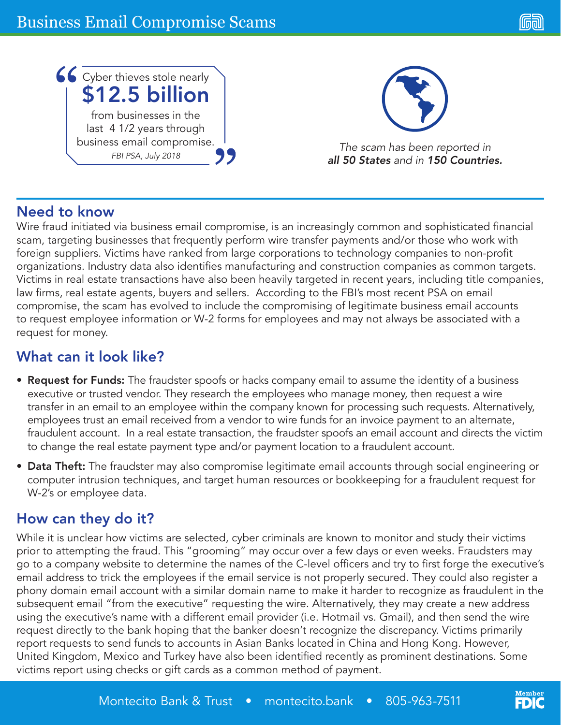

# Need to know

Wire fraud initiated via business email compromise, is an increasingly common and sophisticated financial scam, targeting businesses that frequently perform wire transfer payments and/or those who work with foreign suppliers. Victims have ranked from large corporations to technology companies to non-profit organizations. Industry data also identifies manufacturing and construction companies as common targets. Victims in real estate transactions have also been heavily targeted in recent years, including title companies, law firms, real estate agents, buyers and sellers. According to the FBI's most recent PSA on email compromise, the scam has evolved to include the compromising of legitimate business email accounts to request employee information or W-2 forms for employees and may not always be associated with a request for money.

# What can it look like?

- Request for Funds: The fraudster spoofs or hacks company email to assume the identity of a business executive or trusted vendor. They research the employees who manage money, then request a wire transfer in an email to an employee within the company known for processing such requests. Alternatively, employees trust an email received from a vendor to wire funds for an invoice payment to an alternate, fraudulent account. In a real estate transaction, the fraudster spoofs an email account and directs the victim to change the real estate payment type and/or payment location to a fraudulent account.
- Data Theft: The fraudster may also compromise legitimate email accounts through social engineering or computer intrusion techniques, and target human resources or bookkeeping for a fraudulent request for W-2's or employee data.

# How can they do it?

While it is unclear how victims are selected, cyber criminals are known to monitor and study their victims prior to attempting the fraud. This "grooming" may occur over a few days or even weeks. Fraudsters may go to a company website to determine the names of the C-level officers and try to first forge the executive's email address to trick the employees if the email service is not properly secured. They could also register a phony domain email account with a similar domain name to make it harder to recognize as fraudulent in the subsequent email "from the executive" requesting the wire. Alternatively, they may create a new address using the executive's name with a different email provider (i.e. Hotmail vs. Gmail), and then send the wire request directly to the bank hoping that the banker doesn't recognize the discrepancy. Victims primarily report requests to send funds to accounts in Asian Banks located in China and Hong Kong. However, United Kingdom, Mexico and Turkey have also been identified recently as prominent destinations. Some victims report using checks or gift cards as a common method of payment.